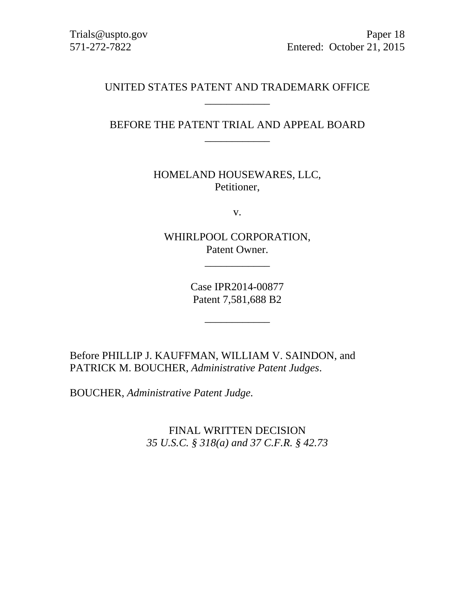## UNITED STATES PATENT AND TRADEMARK OFFICE \_\_\_\_\_\_\_\_\_\_\_\_

# BEFORE THE PATENT TRIAL AND APPEAL BOARD \_\_\_\_\_\_\_\_\_\_\_\_

HOMELAND HOUSEWARES, LLC, Petitioner,

v.

WHIRLPOOL CORPORATION, Patent Owner.

\_\_\_\_\_\_\_\_\_\_\_\_

Case IPR2014-00877 Patent 7,581,688 B2

\_\_\_\_\_\_\_\_\_\_\_\_

Before PHILLIP J. KAUFFMAN, WILLIAM V. SAINDON, and PATRICK M. BOUCHER, *Administrative Patent Judges*.

BOUCHER, *Administrative Patent Judge.* 

FINAL WRITTEN DECISION *35 U.S.C. § 318(a) and 37 C.F.R. § 42.73*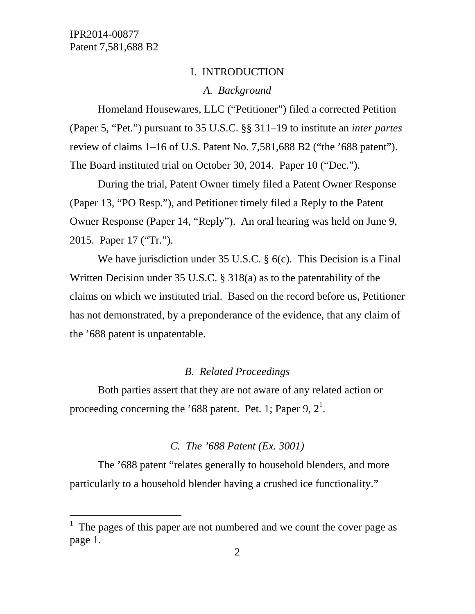-

#### I. INTRODUCTION

### *A. Background*

Homeland Housewares, LLC ("Petitioner") filed a corrected Petition (Paper 5, "Pet.") pursuant to 35 U.S.C. §§ 311–19 to institute an *inter partes*  review of claims 1–16 of U.S. Patent No. 7,581,688 B2 ("the '688 patent"). The Board instituted trial on October 30, 2014. Paper 10 ("Dec.").

During the trial, Patent Owner timely filed a Patent Owner Response (Paper 13, "PO Resp."), and Petitioner timely filed a Reply to the Patent Owner Response (Paper 14, "Reply"). An oral hearing was held on June 9, 2015. Paper 17 ("Tr.").

We have jurisdiction under 35 U.S.C. § 6(c). This Decision is a Final Written Decision under 35 U.S.C. § 318(a) as to the patentability of the claims on which we instituted trial. Based on the record before us, Petitioner has not demonstrated, by a preponderance of the evidence, that any claim of the '688 patent is unpatentable.

#### *B. Related Proceedings*

Both parties assert that they are not aware of any related action or proceeding concerning the '688 patent. Pet. 1; Paper 9,  $2^1$ .

#### *C. The '688 Patent (Ex. 3001)*

The '688 patent "relates generally to household blenders, and more particularly to a household blender having a crushed ice functionality."

 $<sup>1</sup>$  The pages of this paper are not numbered and we count the cover page as</sup> page 1.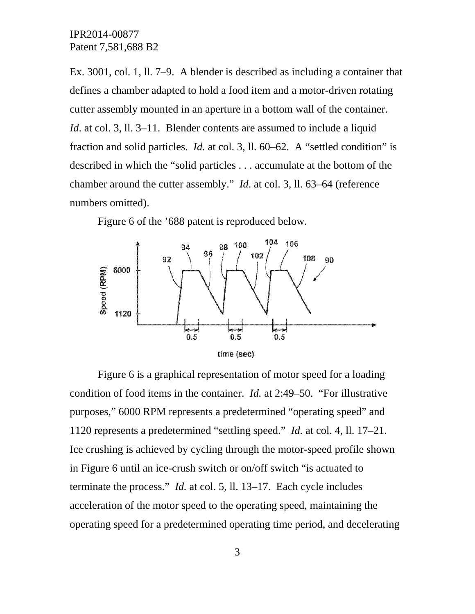Ex. 3001, col. 1, ll. 7–9. A blender is described as including a container that defines a chamber adapted to hold a food item and a motor-driven rotating cutter assembly mounted in an aperture in a bottom wall of the container. *Id.* at col. 3, 11. 3–11. Blender contents are assumed to include a liquid fraction and solid particles. *Id.* at col. 3, ll. 60–62. A "settled condition" is described in which the "solid particles . . . accumulate at the bottom of the chamber around the cutter assembly." *Id*. at col. 3, ll. 63–64 (reference numbers omitted).

Figure 6 of the '688 patent is reproduced below.



Figure 6 is a graphical representation of motor speed for a loading condition of food items in the container. *Id.* at 2:49–50. "For illustrative purposes," 6000 RPM represents a predetermined "operating speed" and 1120 represents a predetermined "settling speed." *Id.* at col. 4, ll. 17–21. Ice crushing is achieved by cycling through the motor-speed profile shown in Figure 6 until an ice-crush switch or on/off switch "is actuated to terminate the process." *Id.* at col. 5, ll. 13–17. Each cycle includes acceleration of the motor speed to the operating speed, maintaining the operating speed for a predetermined operating time period, and decelerating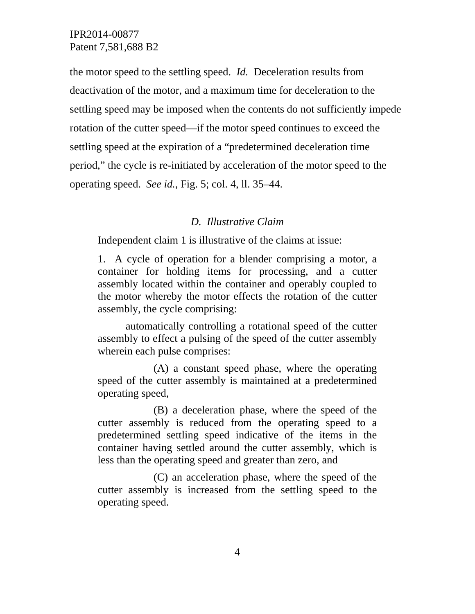the motor speed to the settling speed. *Id.* Deceleration results from deactivation of the motor, and a maximum time for deceleration to the settling speed may be imposed when the contents do not sufficiently impede rotation of the cutter speed—if the motor speed continues to exceed the settling speed at the expiration of a "predetermined deceleration time period," the cycle is re-initiated by acceleration of the motor speed to the operating speed. *See id.*, Fig. 5; col. 4, ll. 35–44.

### *D. Illustrative Claim*

Independent claim 1 is illustrative of the claims at issue:

1. A cycle of operation for a blender comprising a motor, a container for holding items for processing, and a cutter assembly located within the container and operably coupled to the motor whereby the motor effects the rotation of the cutter assembly, the cycle comprising:

 automatically controlling a rotational speed of the cutter assembly to effect a pulsing of the speed of the cutter assembly wherein each pulse comprises:

 (A) a constant speed phase, where the operating speed of the cutter assembly is maintained at a predetermined operating speed,

 (B) a deceleration phase, where the speed of the cutter assembly is reduced from the operating speed to a predetermined settling speed indicative of the items in the container having settled around the cutter assembly, which is less than the operating speed and greater than zero, and

 (C) an acceleration phase, where the speed of the cutter assembly is increased from the settling speed to the operating speed.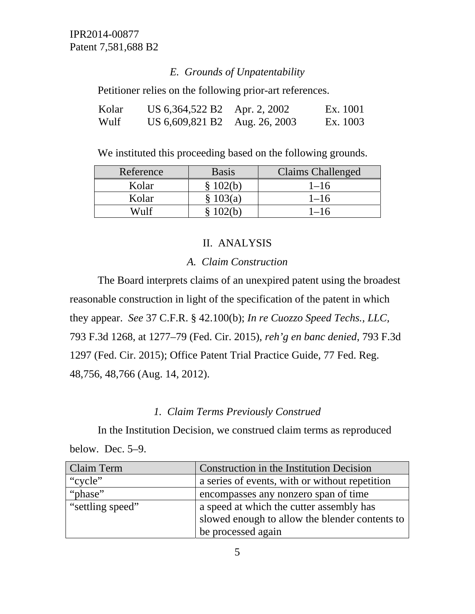### *E. Grounds of Unpatentability*

Petitioner relies on the following prior-art references.

| Kolar | US 6,364,522 B2               | Apr. 2, 2002 | Ex. 1001 |
|-------|-------------------------------|--------------|----------|
| Wulf  | US 6,609,821 B2 Aug. 26, 2003 |              | Ex. 1003 |

We instituted this proceeding based on the following grounds.

| Reference | <b>Basis</b> | <b>Claims Challenged</b> |
|-----------|--------------|--------------------------|
| Kolar     | 102(b)       | $1 - 16$                 |
| Kolar     | \$103(a)     | $1 - 16$                 |
| Wulf      | 102G)        | $1 - 16$                 |

### II. ANALYSIS

#### *A. Claim Construction*

The Board interprets claims of an unexpired patent using the broadest reasonable construction in light of the specification of the patent in which they appear. *See* 37 C.F.R. § 42.100(b); *In re Cuozzo Speed Techs., LLC,*  793 F.3d 1268, at 1277–79 (Fed. Cir. 2015), *reh'g en banc denied*, 793 F.3d 1297 (Fed. Cir. 2015); Office Patent Trial Practice Guide, 77 Fed. Reg. 48,756, 48,766 (Aug. 14, 2012).

### *1. Claim Terms Previously Construed*

In the Institution Decision, we construed claim terms as reproduced below. Dec. 5–9.

| Claim Term       | Construction in the Institution Decision       |
|------------------|------------------------------------------------|
| "cycle"          | a series of events, with or without repetition |
| "phase"          | encompasses any nonzero span of time           |
| "settling speed" | a speed at which the cutter assembly has       |
|                  | slowed enough to allow the blender contents to |
|                  | be processed again                             |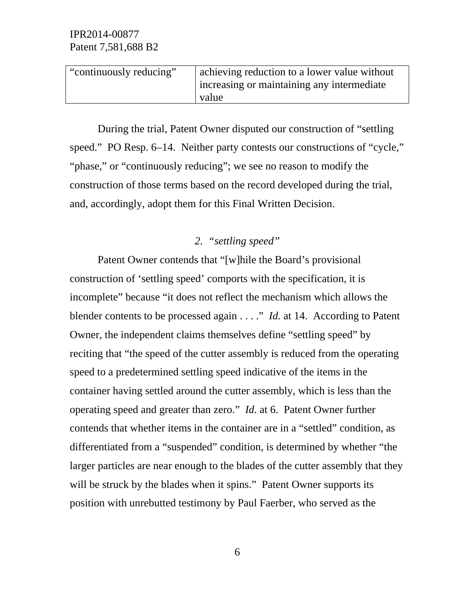| "continuously reducing" | achieving reduction to a lower value without |
|-------------------------|----------------------------------------------|
|                         | increasing or maintaining any intermediate   |
|                         | value                                        |

During the trial, Patent Owner disputed our construction of "settling speed." PO Resp. 6–14. Neither party contests our constructions of "cycle," "phase," or "continuously reducing"; we see no reason to modify the construction of those terms based on the record developed during the trial, and, accordingly, adopt them for this Final Written Decision.

# *2. "settling speed"*

Patent Owner contends that "[w]hile the Board's provisional construction of 'settling speed' comports with the specification, it is incomplete" because "it does not reflect the mechanism which allows the blender contents to be processed again . . . ." *Id.* at 14. According to Patent Owner, the independent claims themselves define "settling speed" by reciting that "the speed of the cutter assembly is reduced from the operating speed to a predetermined settling speed indicative of the items in the container having settled around the cutter assembly, which is less than the operating speed and greater than zero." *Id.* at 6. Patent Owner further contends that whether items in the container are in a "settled" condition, as differentiated from a "suspended" condition, is determined by whether "the larger particles are near enough to the blades of the cutter assembly that they will be struck by the blades when it spins." Patent Owner supports its position with unrebutted testimony by Paul Faerber, who served as the

6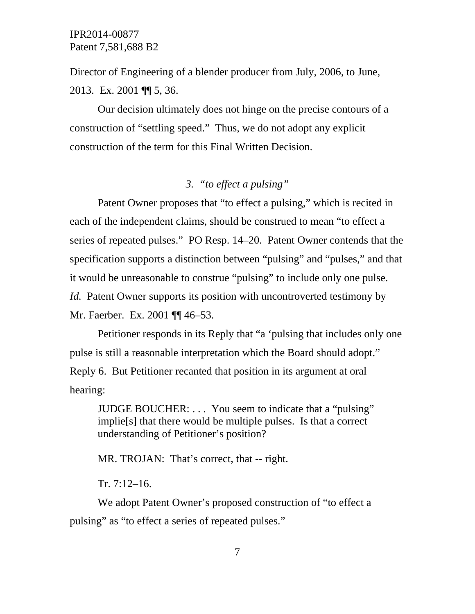Director of Engineering of a blender producer from July, 2006, to June, 2013. Ex. 2001 ¶¶ 5, 36.

Our decision ultimately does not hinge on the precise contours of a construction of "settling speed." Thus, we do not adopt any explicit construction of the term for this Final Written Decision.

# *3. "to effect a pulsing"*

Patent Owner proposes that "to effect a pulsing," which is recited in each of the independent claims, should be construed to mean "to effect a series of repeated pulses." PO Resp. 14–20. Patent Owner contends that the specification supports a distinction between "pulsing" and "pulses," and that it would be unreasonable to construe "pulsing" to include only one pulse. *Id.* Patent Owner supports its position with uncontroverted testimony by Mr. Faerber. Ex. 2001 ¶¶ 46–53.

Petitioner responds in its Reply that "a 'pulsing that includes only one pulse is still a reasonable interpretation which the Board should adopt." Reply 6. But Petitioner recanted that position in its argument at oral hearing:

JUDGE BOUCHER: . . . You seem to indicate that a "pulsing" implie[s] that there would be multiple pulses. Is that a correct understanding of Petitioner's position?

MR. TROJAN: That's correct, that -- right.

Tr. 7:12–16.

We adopt Patent Owner's proposed construction of "to effect a pulsing" as "to effect a series of repeated pulses."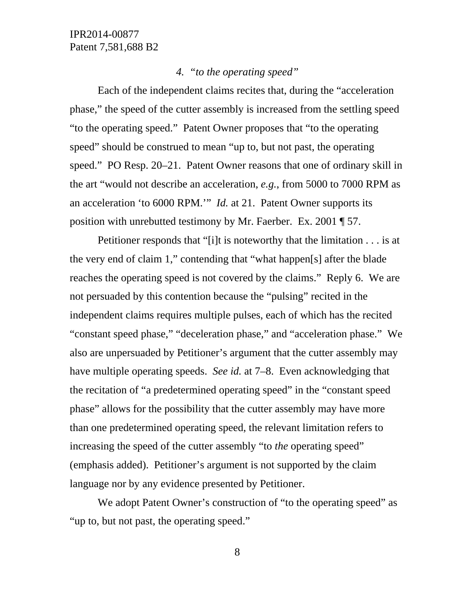## *4. "to the operating speed"*

Each of the independent claims recites that, during the "acceleration phase," the speed of the cutter assembly is increased from the settling speed "to the operating speed." Patent Owner proposes that "to the operating speed" should be construed to mean "up to, but not past, the operating speed." PO Resp. 20–21. Patent Owner reasons that one of ordinary skill in the art "would not describe an acceleration, *e.g.*, from 5000 to 7000 RPM as an acceleration 'to 6000 RPM.'" *Id.* at 21. Patent Owner supports its position with unrebutted testimony by Mr. Faerber. Ex. 2001 ¶ 57.

Petitioner responds that "[i]t is noteworthy that the limitation . . . is at the very end of claim 1," contending that "what happen[s] after the blade reaches the operating speed is not covered by the claims." Reply 6. We are not persuaded by this contention because the "pulsing" recited in the independent claims requires multiple pulses, each of which has the recited "constant speed phase," "deceleration phase," and "acceleration phase." We also are unpersuaded by Petitioner's argument that the cutter assembly may have multiple operating speeds. *See id.* at 7–8. Even acknowledging that the recitation of "a predetermined operating speed" in the "constant speed phase" allows for the possibility that the cutter assembly may have more than one predetermined operating speed, the relevant limitation refers to increasing the speed of the cutter assembly "to *the* operating speed" (emphasis added). Petitioner's argument is not supported by the claim language nor by any evidence presented by Petitioner.

We adopt Patent Owner's construction of "to the operating speed" as "up to, but not past, the operating speed."

8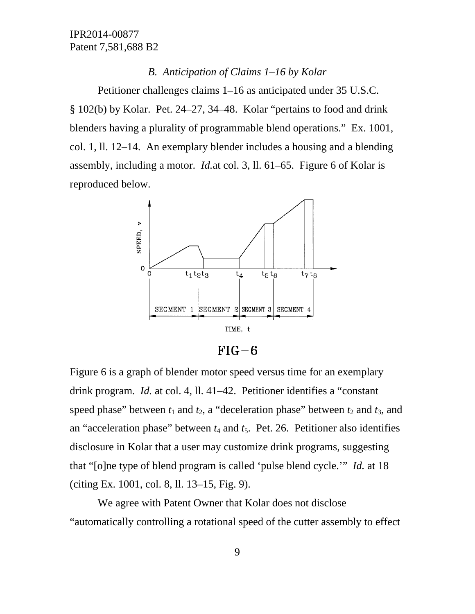#### *B. Anticipation of Claims 1–16 by Kolar*

Petitioner challenges claims 1–16 as anticipated under 35 U.S.C. § 102(b) by Kolar. Pet. 24–27, 34–48. Kolar "pertains to food and drink blenders having a plurality of programmable blend operations." Ex. 1001, col. 1, ll. 12–14. An exemplary blender includes a housing and a blending assembly, including a motor. *Id.*at col. 3, ll. 61–65. Figure 6 of Kolar is reproduced below.



 $FIG-6$ 

Figure 6 is a graph of blender motor speed versus time for an exemplary drink program. *Id.* at col. 4, ll. 41–42. Petitioner identifies a "constant speed phase" between  $t_1$  and  $t_2$ , a "deceleration phase" between  $t_2$  and  $t_3$ , and an "acceleration phase" between  $t_4$  and  $t_5$ . Pet. 26. Petitioner also identifies disclosure in Kolar that a user may customize drink programs, suggesting that "[o]ne type of blend program is called 'pulse blend cycle.'" *Id.* at 18 (citing Ex. 1001, col. 8, ll. 13–15, Fig. 9).

We agree with Patent Owner that Kolar does not disclose "automatically controlling a rotational speed of the cutter assembly to effect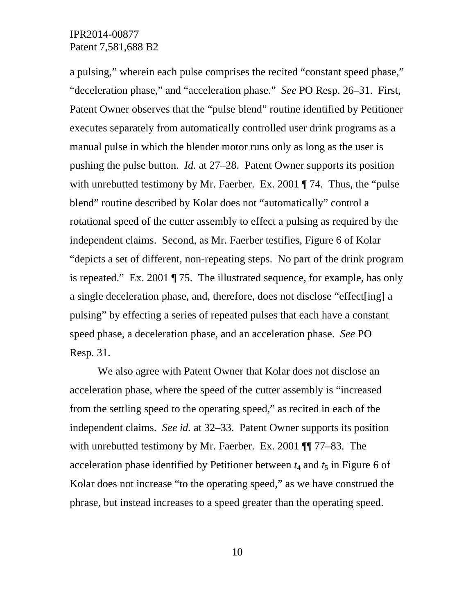a pulsing," wherein each pulse comprises the recited "constant speed phase," "deceleration phase," and "acceleration phase." *See* PO Resp. 26–31. First, Patent Owner observes that the "pulse blend" routine identified by Petitioner executes separately from automatically controlled user drink programs as a manual pulse in which the blender motor runs only as long as the user is pushing the pulse button. *Id.* at 27–28. Patent Owner supports its position with unrebutted testimony by Mr. Faerber. Ex. 2001 ¶ 74. Thus, the "pulse" blend" routine described by Kolar does not "automatically" control a rotational speed of the cutter assembly to effect a pulsing as required by the independent claims. Second, as Mr. Faerber testifies, Figure 6 of Kolar "depicts a set of different, non-repeating steps. No part of the drink program is repeated." Ex. 2001 ¶ 75. The illustrated sequence, for example, has only a single deceleration phase, and, therefore, does not disclose "effect[ing] a pulsing" by effecting a series of repeated pulses that each have a constant speed phase, a deceleration phase, and an acceleration phase. *See* PO Resp. 31.

We also agree with Patent Owner that Kolar does not disclose an acceleration phase, where the speed of the cutter assembly is "increased from the settling speed to the operating speed," as recited in each of the independent claims. *See id.* at 32–33. Patent Owner supports its position with unrebutted testimony by Mr. Faerber. Ex. 2001 ¶¶ 77–83. The acceleration phase identified by Petitioner between  $t_4$  and  $t_5$  in Figure 6 of Kolar does not increase "to the operating speed," as we have construed the phrase, but instead increases to a speed greater than the operating speed.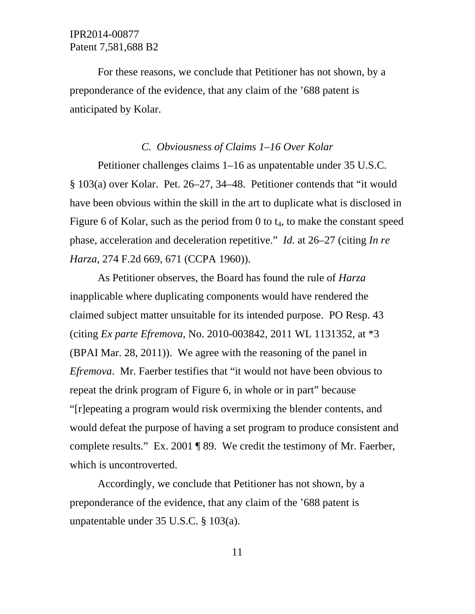For these reasons, we conclude that Petitioner has not shown, by a preponderance of the evidence, that any claim of the '688 patent is anticipated by Kolar.

#### *C. Obviousness of Claims 1–16 Over Kolar*

Petitioner challenges claims 1–16 as unpatentable under 35 U.S.C. § 103(a) over Kolar. Pet. 26–27, 34–48. Petitioner contends that "it would have been obvious within the skill in the art to duplicate what is disclosed in Figure 6 of Kolar, such as the period from 0 to  $t_4$ , to make the constant speed phase, acceleration and deceleration repetitive." *Id.* at 26–27 (citing *In re Harza*, 274 F.2d 669, 671 (CCPA 1960)).

As Petitioner observes, the Board has found the rule of *Harza* inapplicable where duplicating components would have rendered the claimed subject matter unsuitable for its intended purpose. PO Resp. 43 (citing *Ex parte Efremova*, No. 2010-003842, 2011 WL 1131352, at \*3 (BPAI Mar. 28, 2011)). We agree with the reasoning of the panel in *Efremova*. Mr. Faerber testifies that "it would not have been obvious to repeat the drink program of Figure 6, in whole or in part" because "[r]epeating a program would risk overmixing the blender contents, and would defeat the purpose of having a set program to produce consistent and complete results." Ex. 2001 ¶ 89. We credit the testimony of Mr. Faerber, which is uncontroverted.

Accordingly, we conclude that Petitioner has not shown, by a preponderance of the evidence, that any claim of the '688 patent is unpatentable under 35 U.S.C. § 103(a).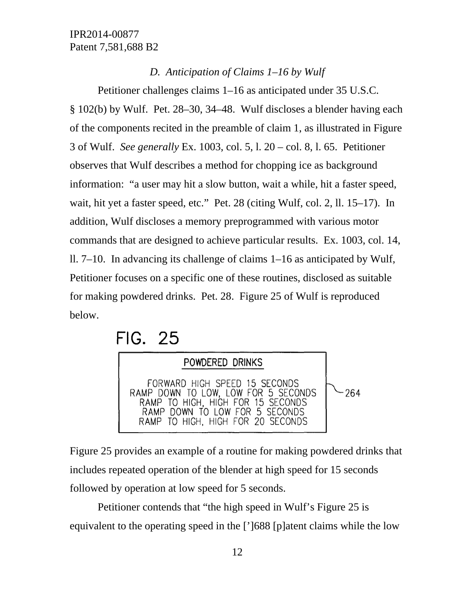#### *D. Anticipation of Claims 1–16 by Wulf*

Petitioner challenges claims 1–16 as anticipated under 35 U.S.C. § 102(b) by Wulf. Pet. 28–30, 34–48. Wulf discloses a blender having each of the components recited in the preamble of claim 1, as illustrated in Figure 3 of Wulf. *See generally* Ex. 1003, col. 5, l. 20 – col. 8, l. 65. Petitioner observes that Wulf describes a method for chopping ice as background information: "a user may hit a slow button, wait a while, hit a faster speed, wait, hit yet a faster speed, etc." Pet. 28 (citing Wulf, col. 2, ll. 15–17). In addition, Wulf discloses a memory preprogrammed with various motor commands that are designed to achieve particular results. Ex. 1003, col. 14, ll. 7–10. In advancing its challenge of claims 1–16 as anticipated by Wulf, Petitioner focuses on a specific one of these routines, disclosed as suitable for making powdered drinks. Pet. 28. Figure 25 of Wulf is reproduced below.

# **FIG. 25**



Figure 25 provides an example of a routine for making powdered drinks that includes repeated operation of the blender at high speed for 15 seconds followed by operation at low speed for 5 seconds.

Petitioner contends that "the high speed in Wulf's Figure 25 is equivalent to the operating speed in the [']688 [p]atent claims while the low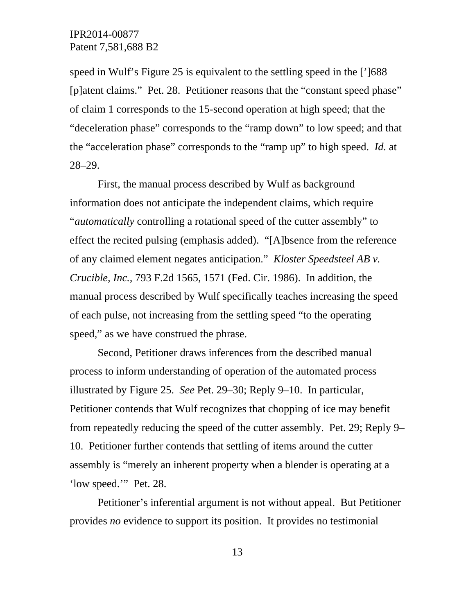speed in Wulf's Figure 25 is equivalent to the settling speed in the [']688 [p]atent claims." Pet. 28. Petitioner reasons that the "constant speed phase" of claim 1 corresponds to the 15-second operation at high speed; that the "deceleration phase" corresponds to the "ramp down" to low speed; and that the "acceleration phase" corresponds to the "ramp up" to high speed. *Id.* at 28–29.

First, the manual process described by Wulf as background information does not anticipate the independent claims, which require "*automatically* controlling a rotational speed of the cutter assembly" to effect the recited pulsing (emphasis added). "[A]bsence from the reference of any claimed element negates anticipation." *Kloster Speedsteel AB v. Crucible, Inc.,* 793 F.2d 1565, 1571 (Fed. Cir. 1986). In addition, the manual process described by Wulf specifically teaches increasing the speed of each pulse, not increasing from the settling speed "to the operating speed," as we have construed the phrase.

Second, Petitioner draws inferences from the described manual process to inform understanding of operation of the automated process illustrated by Figure 25. *See* Pet. 29–30; Reply 9–10. In particular, Petitioner contends that Wulf recognizes that chopping of ice may benefit from repeatedly reducing the speed of the cutter assembly. Pet. 29; Reply 9– 10. Petitioner further contends that settling of items around the cutter assembly is "merely an inherent property when a blender is operating at a 'low speed.'" Pet. 28.

Petitioner's inferential argument is not without appeal. But Petitioner provides *no* evidence to support its position. It provides no testimonial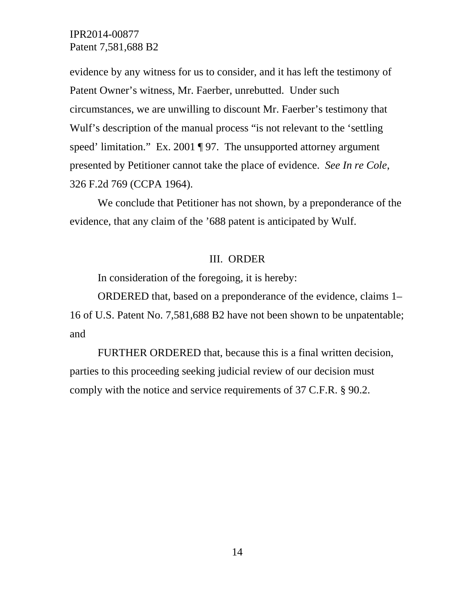evidence by any witness for us to consider, and it has left the testimony of Patent Owner's witness, Mr. Faerber, unrebutted. Under such circumstances, we are unwilling to discount Mr. Faerber's testimony that Wulf's description of the manual process "is not relevant to the 'settling speed' limitation." Ex. 2001 ¶ 97. The unsupported attorney argument presented by Petitioner cannot take the place of evidence. *See In re Cole*, 326 F.2d 769 (CCPA 1964).

We conclude that Petitioner has not shown, by a preponderance of the evidence, that any claim of the '688 patent is anticipated by Wulf.

#### III. ORDER

In consideration of the foregoing, it is hereby:

ORDERED that, based on a preponderance of the evidence, claims 1– 16 of U.S. Patent No. 7,581,688 B2 have not been shown to be unpatentable; and

FURTHER ORDERED that, because this is a final written decision, parties to this proceeding seeking judicial review of our decision must comply with the notice and service requirements of 37 C.F.R. § 90.2.